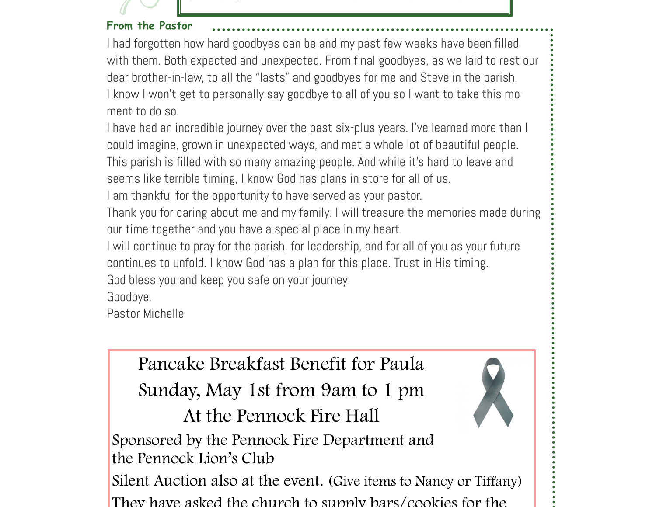

### **From the Pastor**

I had forgotten how hard goodbyes can be and my past few weeks have been filled with them. Both expected and unexpected. From final goodbyes, as we laid to rest our dear brother-in-law, to all the "lasts" and goodbyes for me and Steve in the parish. I know I won't get to personally say goodbye to all of you so I want to take this moment to do so.

I have had an incredible journey over the past six-plus years. I've learned more than I could imagine, grown in unexpected ways, and met a whole lot of beautiful people. This parish is filled with so many amazing people. And while it's hard to leave and seems like terrible timing, I know God has plans in store for all of us.

I am thankful for the opportunity to have served as your pastor.

Thank you for caring about me and my family. I will treasure the memories made during our time together and you have a special place in my heart.

I will continue to pray for the parish, for leadership, and for all of you as your future continues to unfold. I know God has a plan for this place. Trust in His timing. God bless you and keep you safe on your journey.

Goodbye,

Pastor Michelle

Pancake Breakfast Benefit for Paula Sunday, May 1st from 9am to 1 pm At the Pennock Fire Hall



Sponsored by the Pennock Fire Department and the Pennock Lion's Club

Silent Auction also at the event. (Give items to Nancy or Tiffany) They have asked the church to supply bars/cookies for the